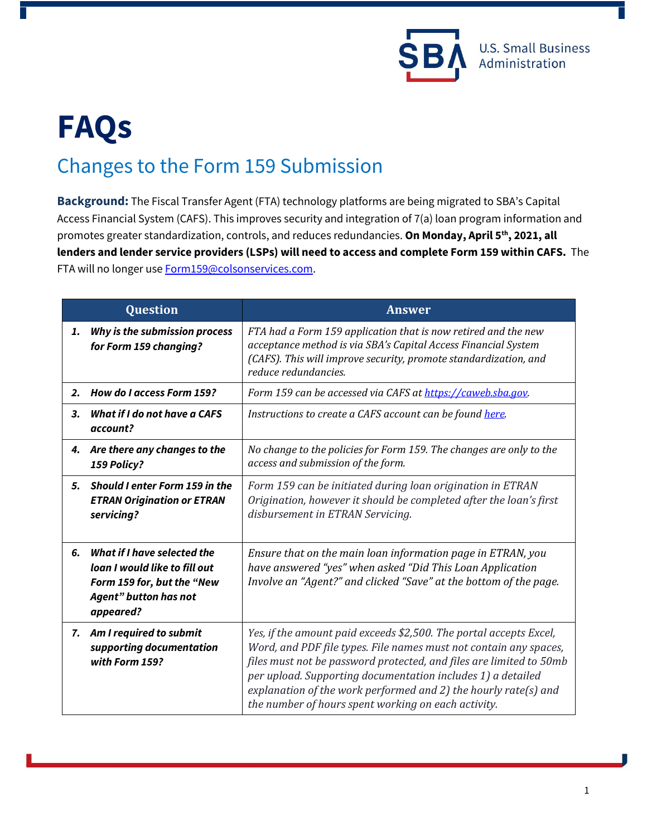

## **FAQs** Changes to the Form 159 Submission

**Background:** The Fiscal Transfer Agent (FTA) technology platforms are being migrated to SBA's Capital Access Financial System (CAFS). This improves security and integration of 7(a) loan program information and promotes greater standardization, controls, and reduces redundancies. **On Monday, April 5th , 2021, all lenders and lender service providers (LSPs) will need to access and complete Form 159 within CAFS.** The FTA will no longer use **Form159@colsonservices.com**.

| <b>Question</b> |                                                                                                                                                 | <b>Answer</b>                                                                                                                                                                                                                                                                                                                                                                                           |
|-----------------|-------------------------------------------------------------------------------------------------------------------------------------------------|---------------------------------------------------------------------------------------------------------------------------------------------------------------------------------------------------------------------------------------------------------------------------------------------------------------------------------------------------------------------------------------------------------|
| 1.              | Why is the submission process<br>for Form 159 changing?                                                                                         | FTA had a Form 159 application that is now retired and the new<br>acceptance method is via SBA's Capital Access Financial System<br>(CAFS). This will improve security, promote standardization, and<br>reduce redundancies.                                                                                                                                                                            |
| $\mathbf{2}$    | How do I access Form 159?                                                                                                                       | Form 159 can be accessed via CAFS at https://caweb.sba.gov.                                                                                                                                                                                                                                                                                                                                             |
| З.              | <b>What if I do not have a CAFS</b><br>account?                                                                                                 | Instructions to create a CAFS account can be found here.                                                                                                                                                                                                                                                                                                                                                |
| 4.              | Are there any changes to the<br>159 Policy?                                                                                                     | No change to the policies for Form 159. The changes are only to the<br>access and submission of the form.                                                                                                                                                                                                                                                                                               |
| 5.              | <b>Should I enter Form 159 in the</b><br><b>ETRAN Origination or ETRAN</b><br>servicing?                                                        | Form 159 can be initiated during loan origination in ETRAN<br>Origination, however it should be completed after the loan's first<br>disbursement in ETRAN Servicing.                                                                                                                                                                                                                                    |
| 6.              | <b>What if I have selected the</b><br>loan I would like to fill out<br>Form 159 for, but the "New<br><b>Agent</b> " button has not<br>appeared? | Ensure that on the main loan information page in ETRAN, you<br>have answered "yes" when asked "Did This Loan Application<br>Involve an "Agent?" and clicked "Save" at the bottom of the page.                                                                                                                                                                                                           |
| 7.              | Am I required to submit<br>supporting documentation<br>with Form 159?                                                                           | Yes, if the amount paid exceeds \$2,500. The portal accepts Excel,<br>Word, and PDF file types. File names must not contain any spaces,<br>files must not be password protected, and files are limited to 50mb<br>per upload. Supporting documentation includes 1) a detailed<br>explanation of the work performed and 2) the hourly rate(s) and<br>the number of hours spent working on each activity. |